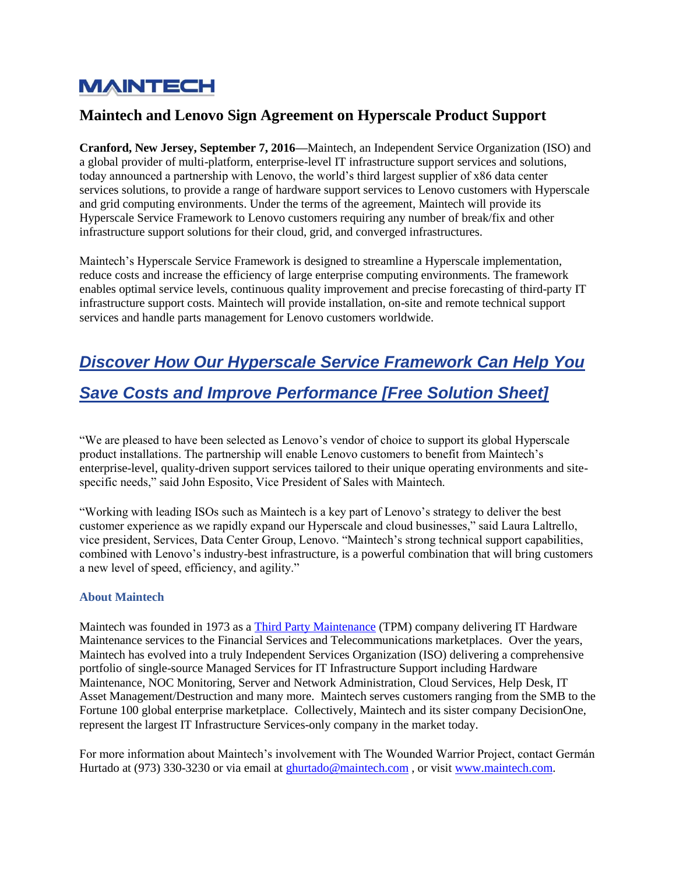## **MAINTECH**

### **Maintech and Lenovo Sign Agreement on Hyperscale Product Support**

**Cranford, New Jersey, September 7, 2016—**Maintech, an Independent Service Organization (ISO) and a global provider of multi-platform, enterprise-level IT infrastructure support services and solutions, today announced a partnership with Lenovo, the world's third largest supplier of x86 data center services solutions, to provide a range of hardware support services to Lenovo customers with Hyperscale and grid computing environments. Under the terms of the agreement, Maintech will provide its Hyperscale Service Framework to Lenovo customers requiring any number of break/fix and other infrastructure support solutions for their cloud, grid, and converged infrastructures.

Maintech's Hyperscale Service Framework is designed to streamline a Hyperscale implementation, reduce costs and increase the efficiency of large enterprise computing environments. The framework enables optimal service levels, continuous quality improvement and precise forecasting of third-party IT infrastructure support costs. Maintech will provide installation, on-site and remote technical support services and handle parts management for Lenovo customers worldwide[.](https://blog.maintech.com/cs/c/?cta_guid=11eae0d8-9760-47c6-beb5-549f102d8aef&placement_guid=b979f4b2-79e7-4ae3-8655-cee1e9251175&portal_id=2042913&canon=https%3A%2F%2Fblog.maintech.com%2Fmaintech-lenovo-sign-agreement-hyperscale-product-support&redirect_url=APefjpHlKv5LzwjDmVBUbH-6wklFmRqOhXHk2z2wuwQDXDBcHnwwymuKnxKh5Bca6ysmmQGMEWWtEXXWmDy5_bEAyCiZNq1U3iBZ4xFaNm23efAELUSMQpkq9tRo89FzDrMP6AcM5saBDFuTrZTHmKaIMhmxeU16lzfIq8qGY1Mmc4B66Ld0OJUQHvLZU24imiCwS8cGQvXgfnyIoRFLVPPA3RozStHCR9KylGDJaGVOkKCT4cYt621OGAJ73hCR7WxQPXlHUj0X3H-anEbprewAw6Bnt6QwIw&click=e5dfde60-c69a-4d0b-816c-17900f002e9c&hsutk=12665e86f0b1d8caa80c9073a203a908&utm_referrer=https%3A%2F%2Fblog.maintech.com%2Ftopic%2Fnews-press-releases&pageId=5847700440&__hstc=71044175.12665e86f0b1d8caa80c9073a203a908.1545070860222.1545070860222.1545073829736.2&__hssc=71044175.65.1545073829736&__hsfp=4213823239)

# *[Discover How Our Hyperscale Service Framework Can Help You](https://blog.maintech.com/cs/c/?cta_guid=11eae0d8-9760-47c6-beb5-549f102d8aef&placement_guid=b979f4b2-79e7-4ae3-8655-cee1e9251175&portal_id=2042913&canon=https%3A%2F%2Fblog.maintech.com%2Fmaintech-lenovo-sign-agreement-hyperscale-product-support&redirect_url=APefjpHlKv5LzwjDmVBUbH-6wklFmRqOhXHk2z2wuwQDXDBcHnwwymuKnxKh5Bca6ysmmQGMEWWtEXXWmDy5_bEAyCiZNq1U3iBZ4xFaNm23efAELUSMQpkq9tRo89FzDrMP6AcM5saBDFuTrZTHmKaIMhmxeU16lzfIq8qGY1Mmc4B66Ld0OJUQHvLZU24imiCwS8cGQvXgfnyIoRFLVPPA3RozStHCR9KylGDJaGVOkKCT4cYt621OGAJ73hCR7WxQPXlHUj0X3H-anEbprewAw6Bnt6QwIw&click=e5dfde60-c69a-4d0b-816c-17900f002e9c&hsutk=12665e86f0b1d8caa80c9073a203a908&utm_referrer=https%3A%2F%2Fblog.maintech.com%2Ftopic%2Fnews-press-releases&pageId=5847700440&__hstc=71044175.12665e86f0b1d8caa80c9073a203a908.1545070860222.1545070860222.1545073829736.2&__hssc=71044175.65.1545073829736&__hsfp=4213823239)*

## *Save [Costs and Improve Performance \[Free Solution Sheet\]](https://blog.maintech.com/cs/c/?cta_guid=11eae0d8-9760-47c6-beb5-549f102d8aef&placement_guid=b979f4b2-79e7-4ae3-8655-cee1e9251175&portal_id=2042913&canon=https%3A%2F%2Fblog.maintech.com%2Fmaintech-lenovo-sign-agreement-hyperscale-product-support&redirect_url=APefjpHlKv5LzwjDmVBUbH-6wklFmRqOhXHk2z2wuwQDXDBcHnwwymuKnxKh5Bca6ysmmQGMEWWtEXXWmDy5_bEAyCiZNq1U3iBZ4xFaNm23efAELUSMQpkq9tRo89FzDrMP6AcM5saBDFuTrZTHmKaIMhmxeU16lzfIq8qGY1Mmc4B66Ld0OJUQHvLZU24imiCwS8cGQvXgfnyIoRFLVPPA3RozStHCR9KylGDJaGVOkKCT4cYt621OGAJ73hCR7WxQPXlHUj0X3H-anEbprewAw6Bnt6QwIw&click=e5dfde60-c69a-4d0b-816c-17900f002e9c&hsutk=12665e86f0b1d8caa80c9073a203a908&utm_referrer=https%3A%2F%2Fblog.maintech.com%2Ftopic%2Fnews-press-releases&pageId=5847700440&__hstc=71044175.12665e86f0b1d8caa80c9073a203a908.1545070860222.1545070860222.1545073829736.2&__hssc=71044175.65.1545073829736&__hsfp=4213823239)*

"We are pleased to have been selected as Lenovo's vendor of choice to support its global Hyperscale product installations. The partnership will enable Lenovo customers to benefit from Maintech's enterprise-level, quality-driven support services tailored to their unique operating environments and sitespecific needs," said John Esposito, Vice President of Sales with Maintech.

"Working with leading ISOs such as Maintech is a key part of Lenovo's strategy to deliver the best customer experience as we rapidly expand our Hyperscale and cloud businesses," said Laura Laltrello, vice president, Services, Data Center Group, Lenovo. "Maintech's strong technical support capabilities, combined with Lenovo's industry-best infrastructure, is a powerful combination that will bring customers a new level of speed, efficiency, and agility."

### **About Maintech**

Maintech was founded in 1973 as a [Third Party Maintenance](https://www.maintech.com/third-party-data-center/) (TPM) company delivering IT Hardware Maintenance services to the Financial Services and Telecommunications marketplaces. Over the years, Maintech has evolved into a truly Independent Services Organization (ISO) delivering a comprehensive portfolio of single-source Managed Services for IT Infrastructure Support including Hardware Maintenance, NOC Monitoring, Server and Network Administration, Cloud Services, Help Desk, IT Asset Management/Destruction and many more. Maintech serves customers ranging from the SMB to the Fortune 100 global enterprise marketplace. Collectively, Maintech and its sister company DecisionOne, represent the largest IT Infrastructure Services-only company in the market today.

For more information about Maintech's involvement with The Wounded Warrior Project, contact Germán Hurtado at (973) 330-3230 or via email at [ghurtado@maintech.com](mailto:sghurtado@maintech.com), or visit [www.maintech.com.](https://www.maintech.com/)